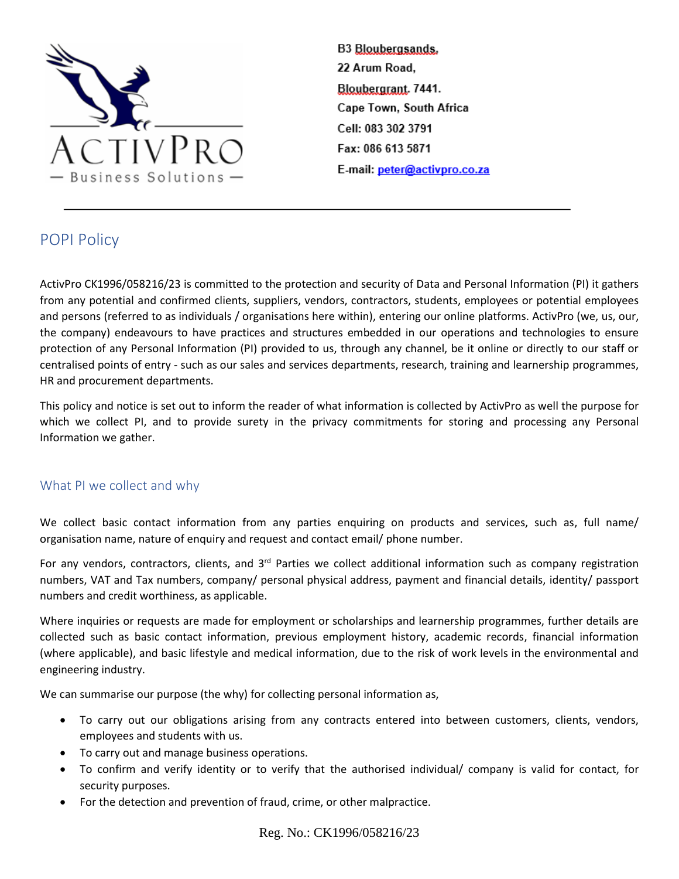

# POPI Policy

ActivPro CK1996/058216/23 is committed to the protection and security of Data and Personal Information (PI) it gathers from any potential and confirmed clients, suppliers, vendors, contractors, students, employees or potential employees and persons (referred to as individuals / organisations here within), entering our online platforms. ActivPro (we, us, our, the company) endeavours to have practices and structures embedded in our operations and technologies to ensure protection of any Personal Information (PI) provided to us, through any channel, be it online or directly to our staff or centralised points of entry - such as our sales and services departments, research, training and learnership programmes, HR and procurement departments.

This policy and notice is set out to inform the reader of what information is collected by ActivPro as well the purpose for which we collect PI, and to provide surety in the privacy commitments for storing and processing any Personal Information we gather.

## What PI we collect and why

We collect basic contact information from any parties enquiring on products and services, such as, full name/ organisation name, nature of enquiry and request and contact email/ phone number.

For any vendors, contractors, clients, and 3<sup>rd</sup> Parties we collect additional information such as company registration numbers, VAT and Tax numbers, company/ personal physical address, payment and financial details, identity/ passport numbers and credit worthiness, as applicable.

Where inquiries or requests are made for employment or scholarships and learnership programmes, further details are collected such as basic contact information, previous employment history, academic records, financial information (where applicable), and basic lifestyle and medical information, due to the risk of work levels in the environmental and engineering industry.

We can summarise our purpose (the why) for collecting personal information as,

- To carry out our obligations arising from any contracts entered into between customers, clients, vendors, employees and students with us.
- To carry out and manage business operations.
- To confirm and verify identity or to verify that the authorised individual/ company is valid for contact, for security purposes.
- For the detection and prevention of fraud, crime, or other malpractice.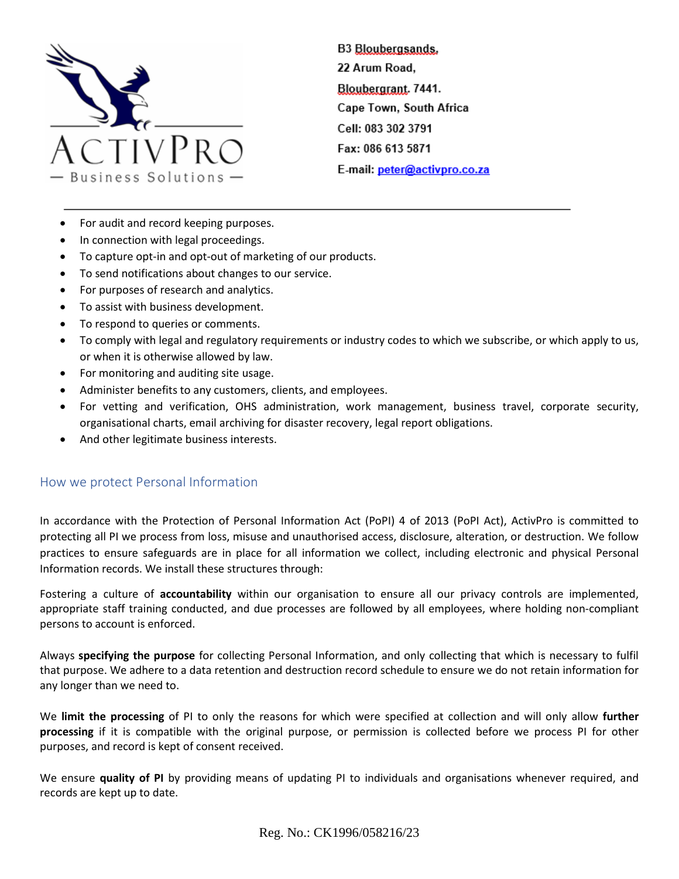

- For audit and record keeping purposes.
- In connection with legal proceedings.
- To capture opt-in and opt-out of marketing of our products.
- To send notifications about changes to our service.
- For purposes of research and analytics.
- To assist with business development.
- To respond to queries or comments.
- To comply with legal and regulatory requirements or industry codes to which we subscribe, or which apply to us, or when it is otherwise allowed by law.
- For monitoring and auditing site usage.
- Administer benefits to any customers, clients, and employees.
- For vetting and verification, OHS administration, work management, business travel, corporate security, organisational charts, email archiving for disaster recovery, legal report obligations.
- And other legitimate business interests.

## How we protect Personal Information

In accordance with the Protection of Personal Information Act (PoPI) 4 of 2013 (PoPI Act), ActivPro is committed to protecting all PI we process from loss, misuse and unauthorised access, disclosure, alteration, or destruction. We follow practices to ensure safeguards are in place for all information we collect, including electronic and physical Personal Information records. We install these structures through:

Fostering a culture of **accountability** within our organisation to ensure all our privacy controls are implemented, appropriate staff training conducted, and due processes are followed by all employees, where holding non-compliant persons to account is enforced.

Always **specifying the purpose** for collecting Personal Information, and only collecting that which is necessary to fulfil that purpose. We adhere to a data retention and destruction record schedule to ensure we do not retain information for any longer than we need to.

We **limit the processing** of PI to only the reasons for which were specified at collection and will only allow **further processing** if it is compatible with the original purpose, or permission is collected before we process PI for other purposes, and record is kept of consent received.

We ensure **quality of PI** by providing means of updating PI to individuals and organisations whenever required, and records are kept up to date.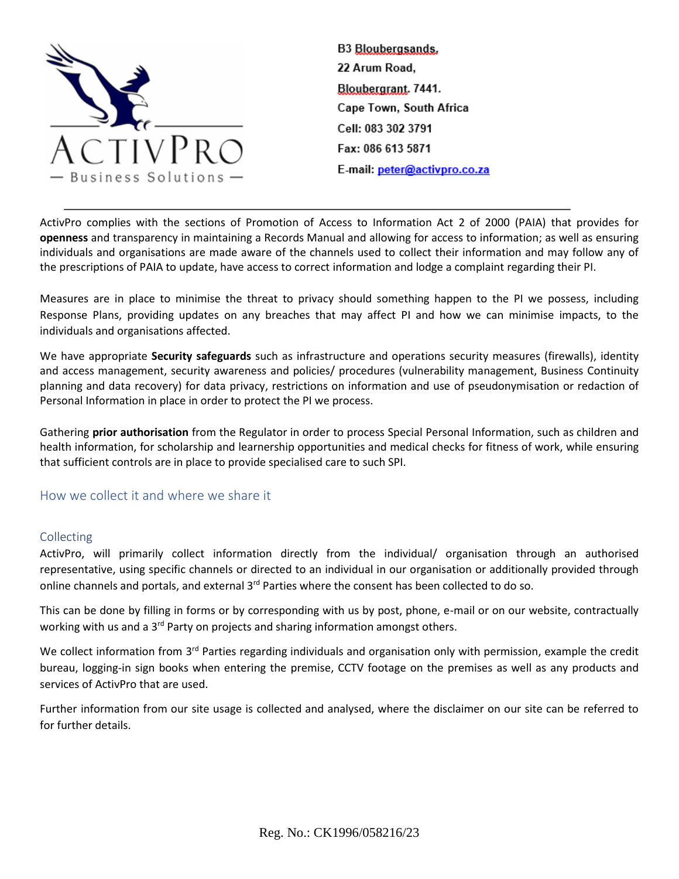

ActivPro complies with the sections of Promotion of Access to Information Act 2 of 2000 (PAIA) that provides for **openness** and transparency in maintaining a Records Manual and allowing for access to information; as well as ensuring individuals and organisations are made aware of the channels used to collect their information and may follow any of the prescriptions of PAIA to update, have access to correct information and lodge a complaint regarding their PI.

Measures are in place to minimise the threat to privacy should something happen to the PI we possess, including Response Plans, providing updates on any breaches that may affect PI and how we can minimise impacts, to the individuals and organisations affected.

We have appropriate **Security safeguards** such as infrastructure and operations security measures (firewalls), identity and access management, security awareness and policies/ procedures (vulnerability management, Business Continuity planning and data recovery) for data privacy, restrictions on information and use of pseudonymisation or redaction of Personal Information in place in order to protect the PI we process.

Gathering **prior authorisation** from the Regulator in order to process Special Personal Information, such as children and health information, for scholarship and learnership opportunities and medical checks for fitness of work, while ensuring that sufficient controls are in place to provide specialised care to such SPI.

## How we collect it and where we share it

#### Collecting

ActivPro, will primarily collect information directly from the individual/ organisation through an authorised representative, using specific channels or directed to an individual in our organisation or additionally provided through online channels and portals, and external 3<sup>rd</sup> Parties where the consent has been collected to do so.

This can be done by filling in forms or by corresponding with us by post, phone, e-mail or on our website, contractually working with us and a 3<sup>rd</sup> Party on projects and sharing information amongst others.

We collect information from 3<sup>rd</sup> Parties regarding individuals and organisation only with permission, example the credit bureau, logging-in sign books when entering the premise, CCTV footage on the premises as well as any products and services of ActivPro that are used.

Further information from our site usage is collected and analysed, where the disclaimer on our site can be referred to for further details.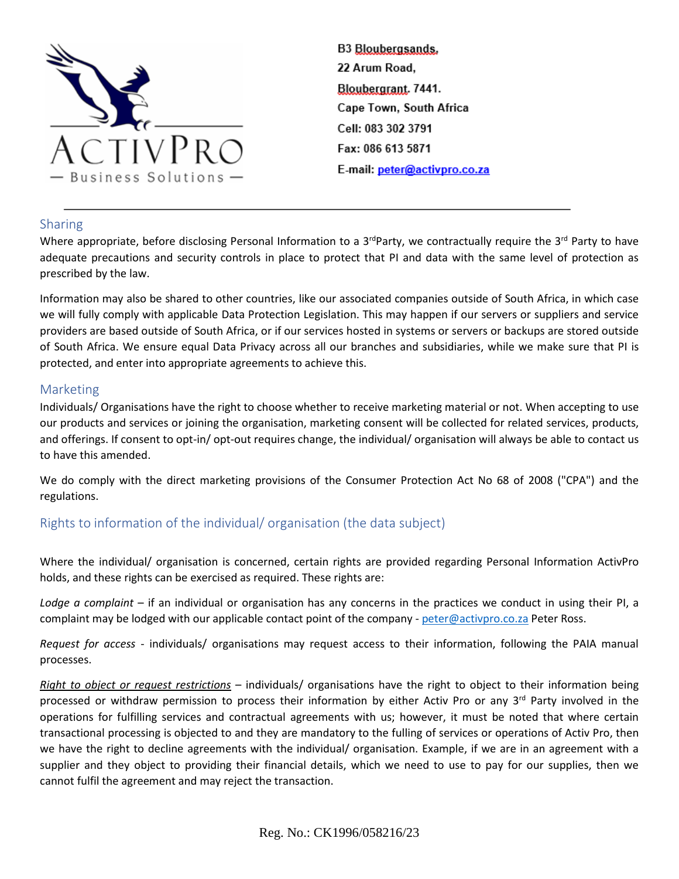

## Sharing

Where appropriate, before disclosing Personal Information to a 3<sup>rd</sup>Party, we contractually require the 3<sup>rd</sup> Party to have adequate precautions and security controls in place to protect that PI and data with the same level of protection as prescribed by the law.

Information may also be shared to other countries, like our associated companies outside of South Africa, in which case we will fully comply with applicable Data Protection Legislation. This may happen if our servers or suppliers and service providers are based outside of South Africa, or if our services hosted in systems or servers or backups are stored outside of South Africa. We ensure equal Data Privacy across all our branches and subsidiaries, while we make sure that PI is protected, and enter into appropriate agreements to achieve this.

## Marketing

Individuals/ Organisations have the right to choose whether to receive marketing material or not. When accepting to use our products and services or joining the organisation, marketing consent will be collected for related services, products, and offerings. If consent to opt-in/ opt-out requires change, the individual/ organisation will always be able to contact us to have this amended.

We do comply with the direct marketing provisions of the Consumer Protection Act No 68 of 2008 ("CPA") and the regulations.

## Rights to information of the individual/ organisation (the data subject)

Where the individual/ organisation is concerned, certain rights are provided regarding Personal Information ActivPro holds, and these rights can be exercised as required. These rights are:

*Lodge a complaint* – if an individual or organisation has any concerns in the practices we conduct in using their PI, a complaint may be lodged with our applicable contact point of the company - [peter@activpro.co.za](mailto:peter@activpro.co.za) Peter Ross.

*Request for access* - individuals/ organisations may request access to their information, following the PAIA manual processes.

*Right to object or request restrictions* – individuals/ organisations have the right to object to their information being processed or withdraw permission to process their information by either Activ Pro or any 3<sup>rd</sup> Party involved in the operations for fulfilling services and contractual agreements with us; however, it must be noted that where certain transactional processing is objected to and they are mandatory to the fulling of services or operations of Activ Pro, then we have the right to decline agreements with the individual/ organisation. Example, if we are in an agreement with a supplier and they object to providing their financial details, which we need to use to pay for our supplies, then we cannot fulfil the agreement and may reject the transaction.